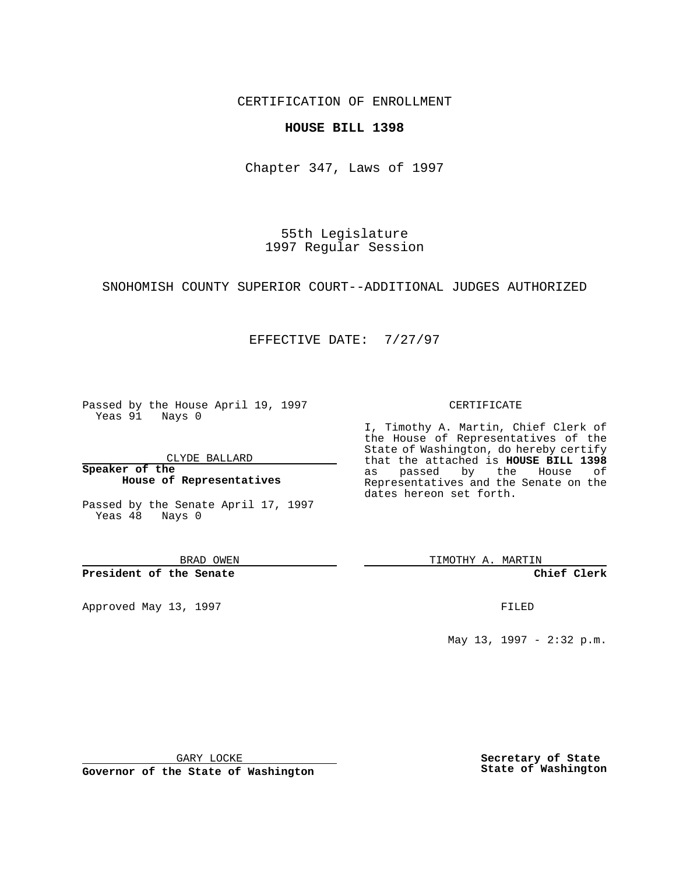CERTIFICATION OF ENROLLMENT

## **HOUSE BILL 1398**

Chapter 347, Laws of 1997

55th Legislature 1997 Regular Session

SNOHOMISH COUNTY SUPERIOR COURT--ADDITIONAL JUDGES AUTHORIZED

## EFFECTIVE DATE: 7/27/97

Passed by the House April 19, 1997 Yeas 91 Nays 0

CLYDE BALLARD

**Speaker of the House of Representatives**

Passed by the Senate April 17, 1997 Yeas 48 Nays 0

BRAD OWEN

**President of the Senate**

Approved May 13, 1997 **FILED** 

## CERTIFICATE

I, Timothy A. Martin, Chief Clerk of the House of Representatives of the State of Washington, do hereby certify that the attached is **HOUSE BILL 1398** as passed by the House of Representatives and the Senate on the dates hereon set forth.

TIMOTHY A. MARTIN

**Chief Clerk**

May 13, 1997 - 2:32 p.m.

GARY LOCKE

**Governor of the State of Washington**

**Secretary of State State of Washington**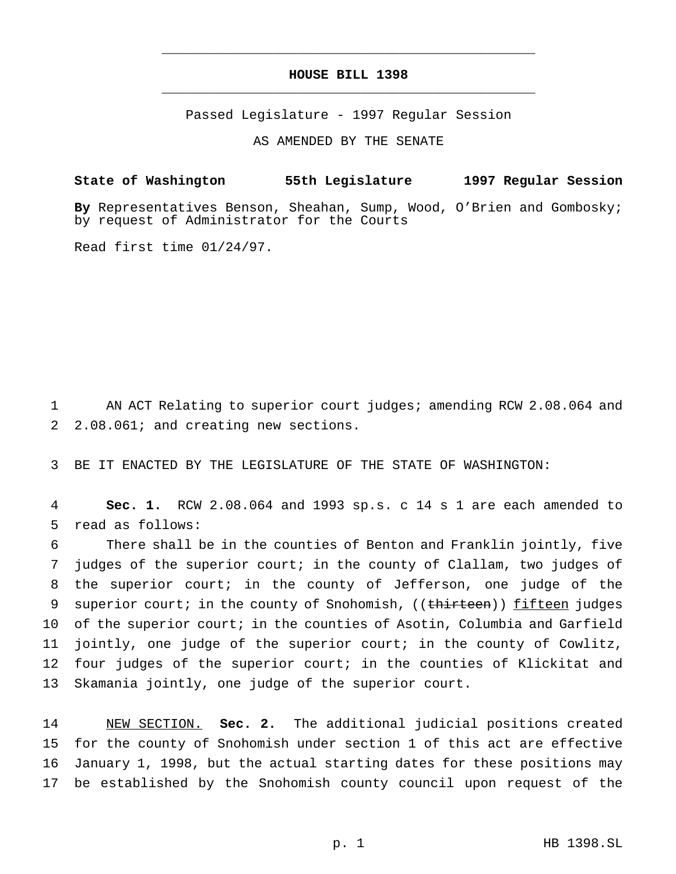## **HOUSE BILL 1398** \_\_\_\_\_\_\_\_\_\_\_\_\_\_\_\_\_\_\_\_\_\_\_\_\_\_\_\_\_\_\_\_\_\_\_\_\_\_\_\_\_\_\_\_\_\_\_

\_\_\_\_\_\_\_\_\_\_\_\_\_\_\_\_\_\_\_\_\_\_\_\_\_\_\_\_\_\_\_\_\_\_\_\_\_\_\_\_\_\_\_\_\_\_\_

Passed Legislature - 1997 Regular Session

AS AMENDED BY THE SENATE

**State of Washington 55th Legislature 1997 Regular Session**

**By** Representatives Benson, Sheahan, Sump, Wood, O'Brien and Gombosky; by request of Administrator for the Courts

Read first time 01/24/97.

1 AN ACT Relating to superior court judges; amending RCW 2.08.064 and 2 2.08.061; and creating new sections.

3 BE IT ENACTED BY THE LEGISLATURE OF THE STATE OF WASHINGTON:

4 **Sec. 1.** RCW 2.08.064 and 1993 sp.s. c 14 s 1 are each amended to 5 read as follows:

 There shall be in the counties of Benton and Franklin jointly, five judges of the superior court; in the county of Clallam, two judges of the superior court; in the county of Jefferson, one judge of the 9 superior court; in the county of Snohomish, ((thirteen)) fifteen judges of the superior court; in the counties of Asotin, Columbia and Garfield jointly, one judge of the superior court; in the county of Cowlitz, four judges of the superior court; in the counties of Klickitat and Skamania jointly, one judge of the superior court.

 NEW SECTION. **Sec. 2.** The additional judicial positions created for the county of Snohomish under section 1 of this act are effective January 1, 1998, but the actual starting dates for these positions may be established by the Snohomish county council upon request of the